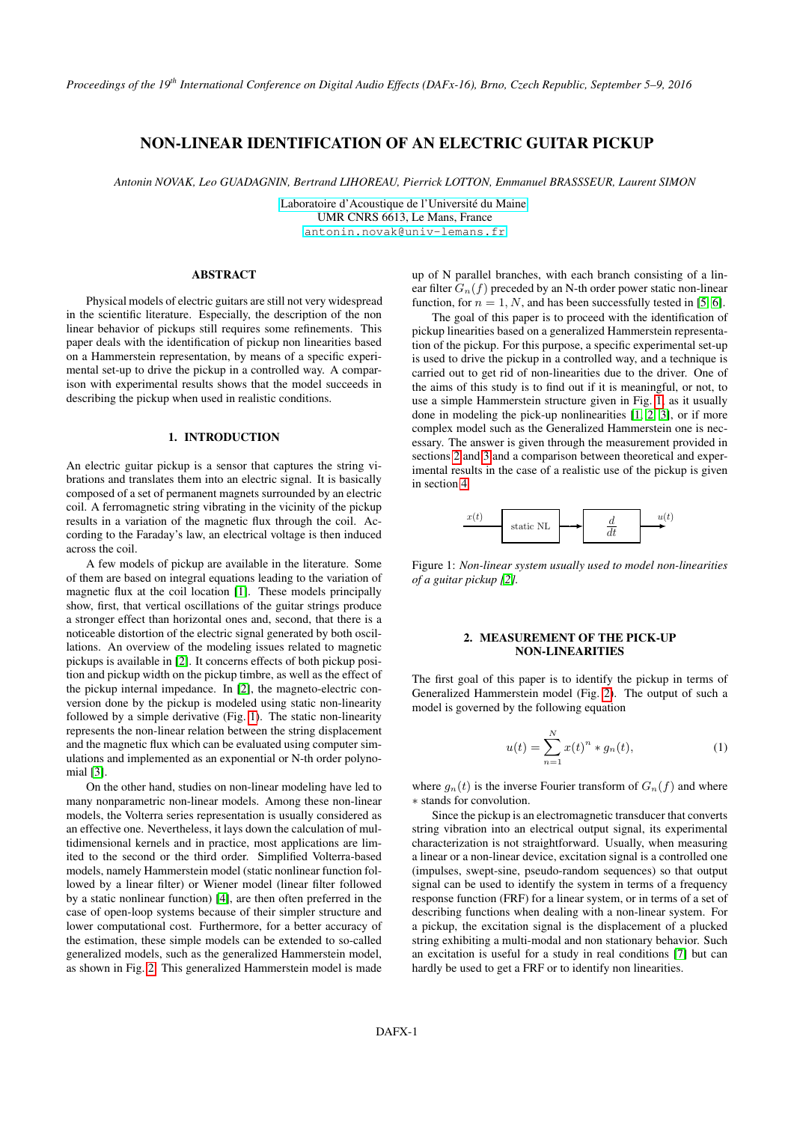# NON-LINEAR IDENTIFICATION OF AN ELECTRIC GUITAR PICKUP

*Antonin NOVAK, Leo GUADAGNIN, Bertrand LIHOREAU, Pierrick LOTTON, Emmanuel BRASSSEUR, Laurent SIMON*

[Laboratoire d'Acoustique de l'Université du Maine,](http://laum.univ-lemans.fr/) UMR CNRS 6613, Le Mans, France [antonin.novak@univ-lemans.fr](mailto:antonin.novak@univ-lemans.fr)

#### ABSTRACT

Physical models of electric guitars are still not very widespread in the scientific literature. Especially, the description of the non linear behavior of pickups still requires some refinements. This paper deals with the identification of pickup non linearities based on a Hammerstein representation, by means of a specific experimental set-up to drive the pickup in a controlled way. A comparison with experimental results shows that the model succeeds in describing the pickup when used in realistic conditions.

#### 1. INTRODUCTION

An electric guitar pickup is a sensor that captures the string vibrations and translates them into an electric signal. It is basically composed of a set of permanent magnets surrounded by an electric coil. A ferromagnetic string vibrating in the vicinity of the pickup results in a variation of the magnetic flux through the coil. According to the Faraday's law, an electrical voltage is then induced across the coil.

A few models of pickup are available in the literature. Some of them are based on integral equations leading to the variation of magnetic flux at the coil location [\[1\]](#page-5-0). These models principally show, first, that vertical oscillations of the guitar strings produce a stronger effect than horizontal ones and, second, that there is a noticeable distortion of the electric signal generated by both oscillations. An overview of the modeling issues related to magnetic pickups is available in [\[2\]](#page-5-1). It concerns effects of both pickup position and pickup width on the pickup timbre, as well as the effect of the pickup internal impedance. In [\[2\]](#page-5-1), the magneto-electric conversion done by the pickup is modeled using static non-linearity followed by a simple derivative (Fig. [1\)](#page-0-0). The static non-linearity represents the non-linear relation between the string displacement and the magnetic flux which can be evaluated using computer simulations and implemented as an exponential or N-th order polynomial [\[3\]](#page-5-2).

On the other hand, studies on non-linear modeling have led to many nonparametric non-linear models. Among these non-linear models, the Volterra series representation is usually considered as an effective one. Nevertheless, it lays down the calculation of multidimensional kernels and in practice, most applications are limited to the second or the third order. Simplified Volterra-based models, namely Hammerstein model (static nonlinear function followed by a linear filter) or Wiener model (linear filter followed by a static nonlinear function) [\[4\]](#page-5-3), are then often preferred in the case of open-loop systems because of their simpler structure and lower computational cost. Furthermore, for a better accuracy of the estimation, these simple models can be extended to so-called generalized models, such as the generalized Hammerstein model, as shown in Fig. [2.](#page-1-0) This generalized Hammerstein model is made up of N parallel branches, with each branch consisting of a linear filter  $G_n(f)$  preceded by an N-th order power static non-linear function, for  $n = 1, N$ , and has been successfully tested in [\[5,](#page-5-4) [6\]](#page-5-5).

The goal of this paper is to proceed with the identification of pickup linearities based on a generalized Hammerstein representation of the pickup. For this purpose, a specific experimental set-up is used to drive the pickup in a controlled way, and a technique is carried out to get rid of non-linearities due to the driver. One of the aims of this study is to find out if it is meaningful, or not, to use a simple Hammerstein structure given in Fig. [1,](#page-0-0) as it usually done in modeling the pick-up nonlinearities [\[1,](#page-5-0) [2,](#page-5-1) [3\]](#page-5-2), or if more complex model such as the Generalized Hammerstein one is necessary. The answer is given through the measurement provided in sections [2](#page-0-1) and [3](#page-2-0) and a comparison between theoretical and experimental results in the case of a realistic use of the pickup is given in section [4.](#page-3-0)

<span id="page-0-0"></span>

Figure 1: *Non-linear system usually used to model non-linearities of a guitar pickup [\[2\]](#page-5-1).*

# 2. MEASUREMENT OF THE PICK-UP NON-LINEARITIES

<span id="page-0-1"></span>The first goal of this paper is to identify the pickup in terms of Generalized Hammerstein model (Fig. [2\)](#page-1-0). The output of such a model is governed by the following equation

$$
u(t) = \sum_{n=1}^{N} x(t)^n * g_n(t),
$$
 (1)

where  $q_n(t)$  is the inverse Fourier transform of  $G_n(f)$  and where ∗ stands for convolution.

Since the pickup is an electromagnetic transducer that converts string vibration into an electrical output signal, its experimental characterization is not straightforward. Usually, when measuring a linear or a non-linear device, excitation signal is a controlled one (impulses, swept-sine, pseudo-random sequences) so that output signal can be used to identify the system in terms of a frequency response function (FRF) for a linear system, or in terms of a set of describing functions when dealing with a non-linear system. For a pickup, the excitation signal is the displacement of a plucked string exhibiting a multi-modal and non stationary behavior. Such an excitation is useful for a study in real conditions [\[7\]](#page-5-6) but can hardly be used to get a FRF or to identify non linearities.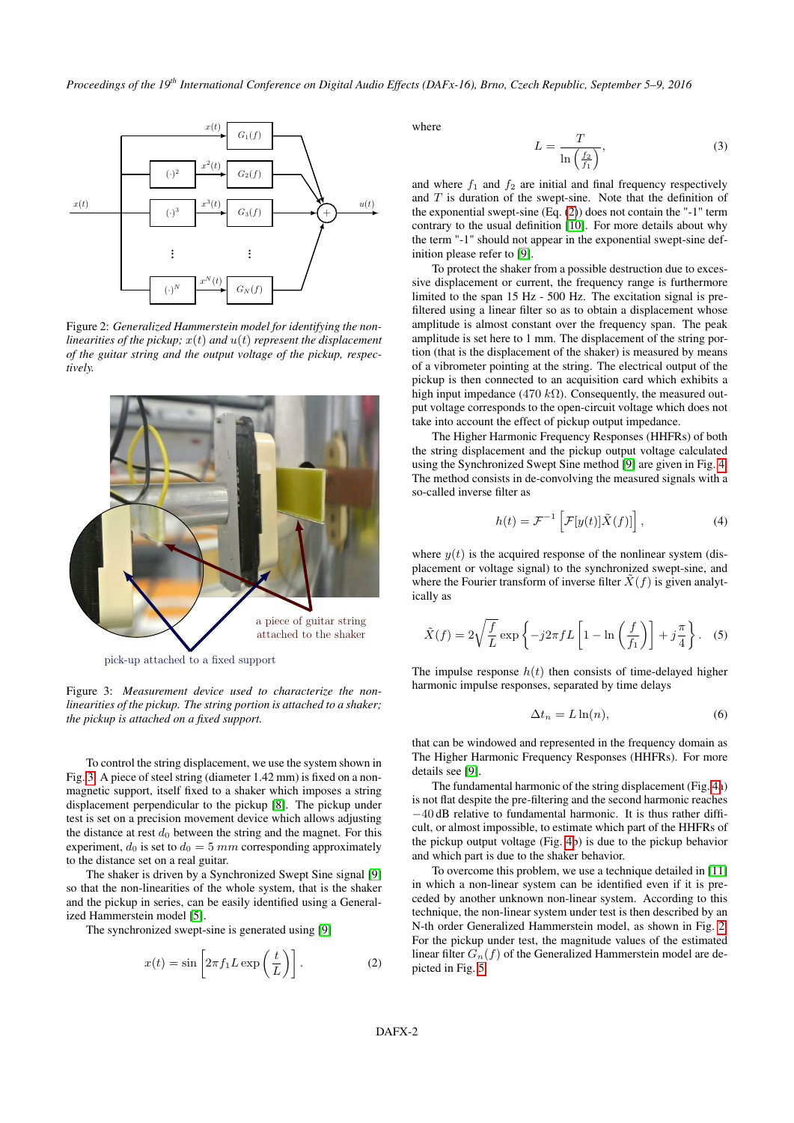<span id="page-1-0"></span>

Figure 2: *Generalized Hammerstein model for identifying the nonlinearities of the pickup;*  $x(t)$  *and*  $u(t)$  *represent the displacement of the guitar string and the output voltage of the pickup, respectively.*

<span id="page-1-1"></span>

pick-up attached to a fixed support

Figure 3: *Measurement device used to characterize the nonlinearities of the pickup. The string portion is attached to a shaker; the pickup is attached on a fixed support.*

To control the string displacement, we use the system shown in Fig. [3.](#page-1-1) A piece of steel string (diameter 1.42 mm) is fixed on a nonmagnetic support, itself fixed to a shaker which imposes a string displacement perpendicular to the pickup [\[8\]](#page-5-7). The pickup under test is set on a precision movement device which allows adjusting the distance at rest  $d_0$  between the string and the magnet. For this experiment,  $d_0$  is set to  $d_0 = 5$  mm corresponding approximately to the distance set on a real guitar.

The shaker is driven by a Synchronized Swept Sine signal [\[9\]](#page-5-8) so that the non-linearities of the whole system, that is the shaker and the pickup in series, can be easily identified using a Generalized Hammerstein model [\[5\]](#page-5-4).

The synchronized swept-sine is generated using [\[9\]](#page-5-8)

<span id="page-1-2"></span>
$$
x(t) = \sin\left[2\pi f_1 L \exp\left(\frac{t}{L}\right)\right].
$$
 (2)

where

$$
L = \frac{T}{\ln\left(\frac{f_2}{f_1}\right)},\tag{3}
$$

and where  $f_1$  and  $f_2$  are initial and final frequency respectively and  $T$  is duration of the swept-sine. Note that the definition of the exponential swept-sine (Eq. [\(2\)](#page-1-2)) does not contain the "-1" term contrary to the usual definition [\[10\]](#page-5-9). For more details about why the term "-1" should not appear in the exponential swept-sine definition please refer to [\[9\]](#page-5-8).

To protect the shaker from a possible destruction due to excessive displacement or current, the frequency range is furthermore limited to the span 15 Hz - 500 Hz. The excitation signal is prefiltered using a linear filter so as to obtain a displacement whose amplitude is almost constant over the frequency span. The peak amplitude is set here to 1 mm. The displacement of the string portion (that is the displacement of the shaker) is measured by means of a vibrometer pointing at the string. The electrical output of the pickup is then connected to an acquisition card which exhibits a high input impedance (470 kΩ). Consequently, the measured output voltage corresponds to the open-circuit voltage which does not take into account the effect of pickup output impedance.

The Higher Harmonic Frequency Responses (HHFRs) of both the string displacement and the pickup output voltage calculated using the Synchronized Swept Sine method [\[9\]](#page-5-8) are given in Fig. [4.](#page-2-1) The method consists in de-convolving the measured signals with a so-called inverse filter as

$$
h(t) = \mathcal{F}^{-1}\left[\mathcal{F}[y(t)]\tilde{X}(f)]\right],
$$
\n(4)

where  $y(t)$  is the acquired response of the nonlinear system (displacement or voltage signal) to the synchronized swept-sine, and where the Fourier transform of inverse filter  $\overline{X}(f)$  is given analytically as

$$
\tilde{X}(f) = 2\sqrt{\frac{f}{L}} \exp\left\{-j2\pi fL\left[1 - \ln\left(\frac{f}{f_1}\right)\right] + j\frac{\pi}{4}\right\}.
$$
 (5)

The impulse response  $h(t)$  then consists of time-delayed higher harmonic impulse responses, separated by time delays

$$
\Delta t_n = L \ln(n),\tag{6}
$$

that can be windowed and represented in the frequency domain as The Higher Harmonic Frequency Responses (HHFRs). For more details see [\[9\]](#page-5-8).

The fundamental harmonic of the string displacement (Fig. [4a](#page-2-1)) is not flat despite the pre-filtering and the second harmonic reaches −40 dB relative to fundamental harmonic. It is thus rather difficult, or almost impossible, to estimate which part of the HHFRs of the pickup output voltage (Fig. [4b](#page-2-1)) is due to the pickup behavior and which part is due to the shaker behavior.

To overcome this problem, we use a technique detailed in [\[11\]](#page-5-10) in which a non-linear system can be identified even if it is preceded by another unknown non-linear system. According to this technique, the non-linear system under test is then described by an N-th order Generalized Hammerstein model, as shown in Fig. [2.](#page-1-0) For the pickup under test, the magnitude values of the estimated linear filter  $G_n(f)$  of the Generalized Hammerstein model are depicted in Fig. [5.](#page-2-2)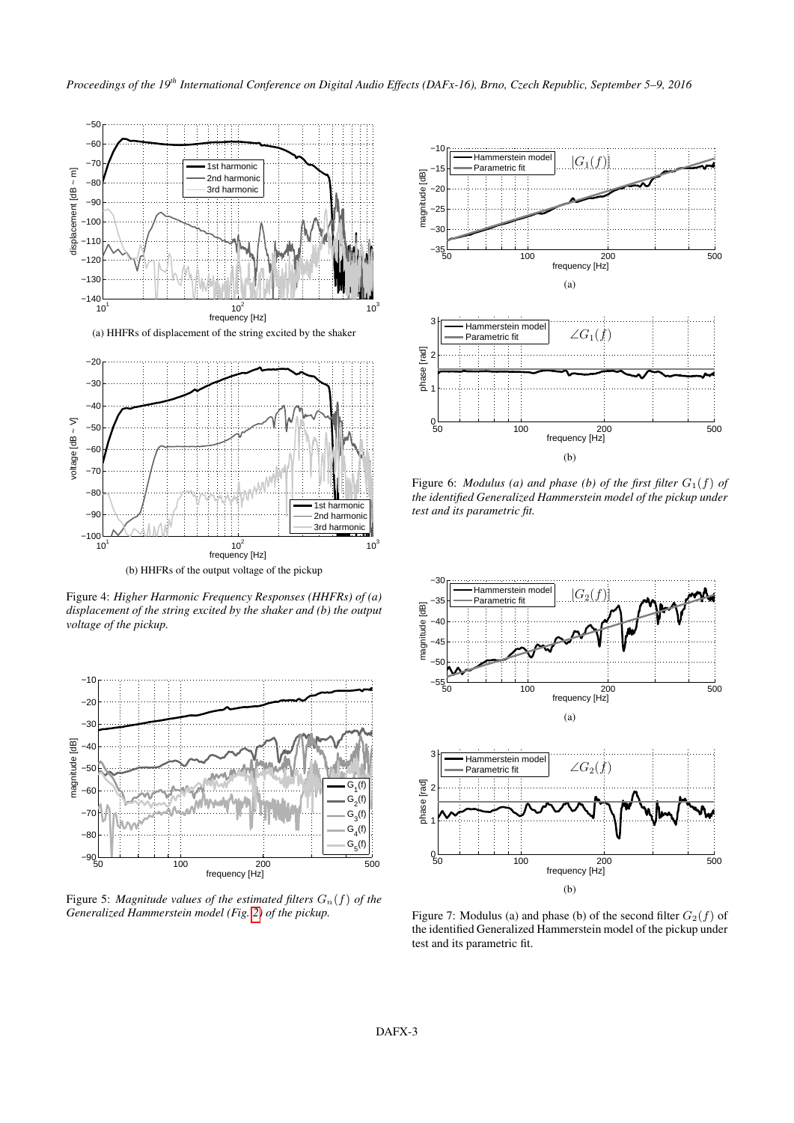<span id="page-2-1"></span>

(b) HHFRs of the output voltage of the pickup

Figure 4: *Higher Harmonic Frequency Responses (HHFRs) of (a) displacement of the string excited by the shaker and (b) the output voltage of the pickup.*

<span id="page-2-2"></span>

<span id="page-2-0"></span>Figure 5: *Magnitude values of the estimated filters*  $G_n(f)$  *of the Generalized Hammerstein model (Fig. [2\)](#page-1-0) of the pickup.*

<span id="page-2-3"></span>

Figure 6: *Modulus (a) and phase (b) of the first filter*  $G_1(f)$  *of the identified Generalized Hammerstein model of the pickup under test and its parametric fit.*

<span id="page-2-4"></span>

Figure 7: Modulus (a) and phase (b) of the second filter  $G_2(f)$  of the identified Generalized Hammerstein model of the pickup under test and its parametric fit.

(b)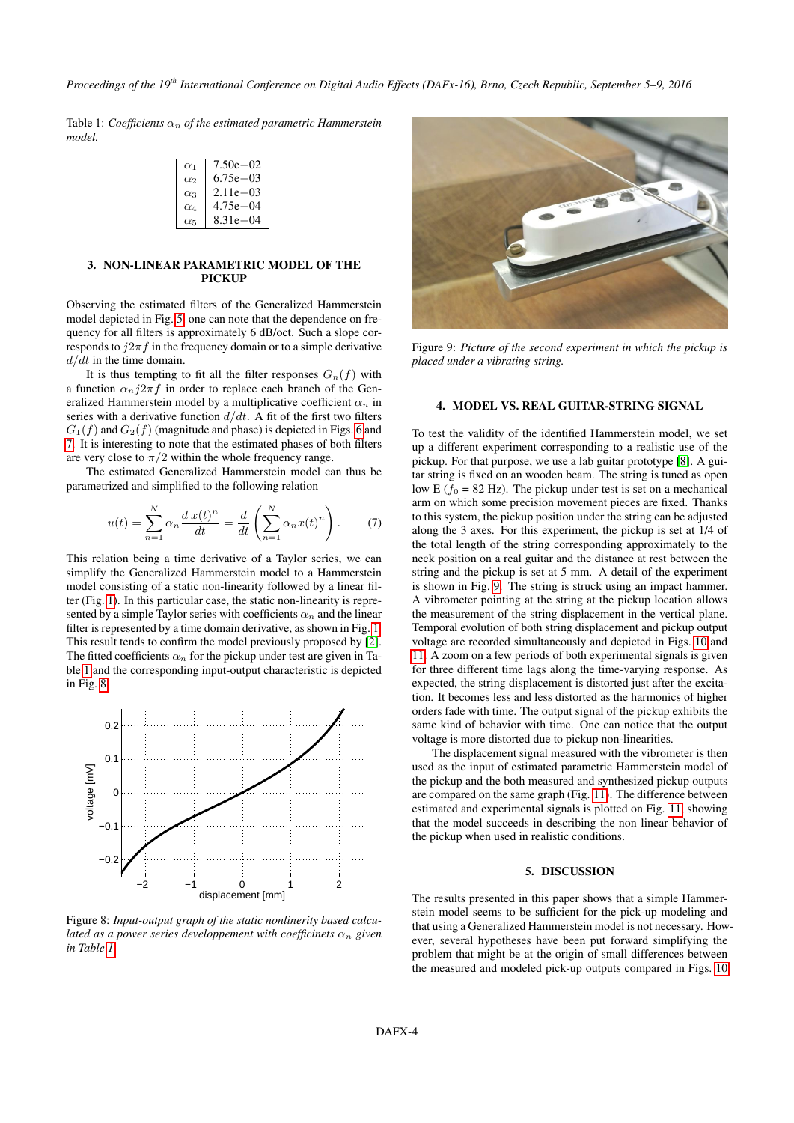*Proceedings of the 19th International Conference on Digital Audio Effects (DAFx-16), Brno, Czech Republic, September 5–9, 2016*

<span id="page-3-1"></span>Table 1: *Coefficients*  $\alpha_n$  *of the estimated parametric Hammerstein model.*

| $\alpha_1$ | $7.50e - 02$  |
|------------|---------------|
| $\alpha_2$ | $6.75e - 03$  |
| $\alpha_3$ | $2.11e - 0.3$ |
| $\alpha_4$ | $4.75e - 04$  |
| $\alpha_5$ | $8.31e - 04$  |

#### 3. NON-LINEAR PARAMETRIC MODEL OF THE PICKUP

Observing the estimated filters of the Generalized Hammerstein model depicted in Fig. [5,](#page-2-2) one can note that the dependence on frequency for all filters is approximately 6 dB/oct. Such a slope corresponds to  $j2\pi f$  in the frequency domain or to a simple derivative  $d/dt$  in the time domain.

It is thus tempting to fit all the filter responses  $G_n(f)$  with a function  $\alpha_n j2\pi f$  in order to replace each branch of the Generalized Hammerstein model by a multiplicative coefficient  $\alpha_n$  in series with a derivative function  $d/dt$ . A fit of the first two filters  $G_1(f)$  and  $G_2(f)$  (magnitude and phase) is depicted in Figs. [6](#page-2-3) and [7.](#page-2-4) It is interesting to note that the estimated phases of both filters are very close to  $\pi/2$  within the whole frequency range.

The estimated Generalized Hammerstein model can thus be parametrized and simplified to the following relation

$$
u(t) = \sum_{n=1}^{N} \alpha_n \frac{d x(t)^n}{dt} = \frac{d}{dt} \left( \sum_{n=1}^{N} \alpha_n x(t)^n \right). \tag{7}
$$

This relation being a time derivative of a Taylor series, we can simplify the Generalized Hammerstein model to a Hammerstein model consisting of a static non-linearity followed by a linear filter (Fig. [1\)](#page-0-0). In this particular case, the static non-linearity is represented by a simple Taylor series with coefficients  $\alpha_n$  and the linear filter is represented by a time domain derivative, as shown in Fig. [1.](#page-0-0) This result tends to confirm the model previously proposed by [\[2\]](#page-5-1). The fitted coefficients  $\alpha_n$  for the pickup under test are given in Table [1](#page-3-1) and the corresponding input-output characteristic is depicted in Fig. [8.](#page-3-2)

<span id="page-3-2"></span>

Figure 8: *Input-output graph of the static nonlinerity based calculated as a power series developpement with coefficinets*  $\alpha_n$  *given in Table [1.](#page-3-1)*

<span id="page-3-3"></span>

Figure 9: *Picture of the second experiment in which the pickup is placed under a vibrating string.*

### <span id="page-3-0"></span>4. MODEL VS. REAL GUITAR-STRING SIGNAL

To test the validity of the identified Hammerstein model, we set up a different experiment corresponding to a realistic use of the pickup. For that purpose, we use a lab guitar prototype [\[8\]](#page-5-7). A guitar string is fixed on an wooden beam. The string is tuned as open low E ( $f_0$  = 82 Hz). The pickup under test is set on a mechanical arm on which some precision movement pieces are fixed. Thanks to this system, the pickup position under the string can be adjusted along the 3 axes. For this experiment, the pickup is set at 1/4 of the total length of the string corresponding approximately to the neck position on a real guitar and the distance at rest between the string and the pickup is set at 5 mm. A detail of the experiment is shown in Fig. [9.](#page-3-3) The string is struck using an impact hammer. A vibrometer pointing at the string at the pickup location allows the measurement of the string displacement in the vertical plane. Temporal evolution of both string displacement and pickup output voltage are recorded simultaneously and depicted in Figs. [10](#page-4-0) and [11.](#page-4-1) A zoom on a few periods of both experimental signals is given for three different time lags along the time-varying response. As expected, the string displacement is distorted just after the excitation. It becomes less and less distorted as the harmonics of higher orders fade with time. The output signal of the pickup exhibits the same kind of behavior with time. One can notice that the output voltage is more distorted due to pickup non-linearities.

The displacement signal measured with the vibrometer is then used as the input of estimated parametric Hammerstein model of the pickup and the both measured and synthesized pickup outputs are compared on the same graph (Fig. [11\)](#page-4-1). The difference between estimated and experimental signals is plotted on Fig. [11,](#page-4-1) showing that the model succeeds in describing the non linear behavior of the pickup when used in realistic conditions.

#### 5. DISCUSSION

The results presented in this paper shows that a simple Hammerstein model seems to be sufficient for the pick-up modeling and that using a Generalized Hammerstein model is not necessary. However, several hypotheses have been put forward simplifying the problem that might be at the origin of small differences between the measured and modeled pick-up outputs compared in Figs. [10](#page-4-0)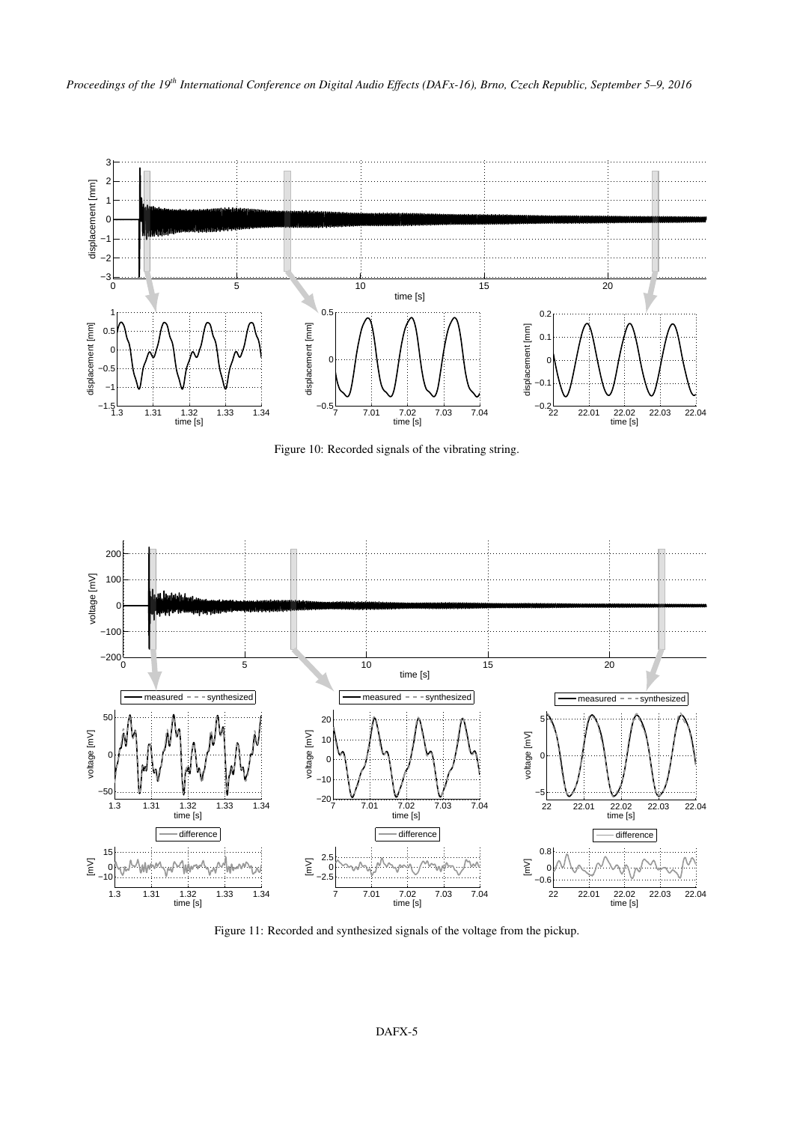

<span id="page-4-0"></span>Figure 10: Recorded signals of the vibrating string.



<span id="page-4-1"></span>Figure 11: Recorded and synthesized signals of the voltage from the pickup.